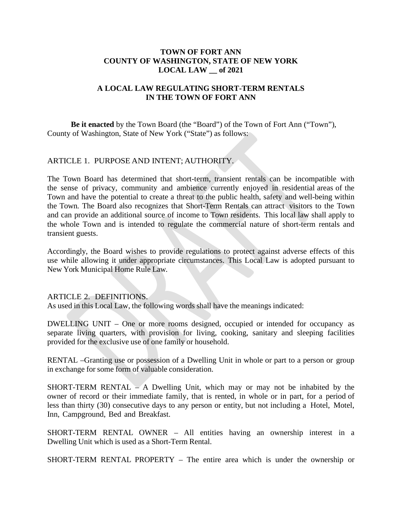### **TOWN OF FORT ANN COUNTY OF WASHINGTON, STATE OF NEW YORK LOCAL LAW \_\_ of 2021**

# **A LOCAL LAW REGULATING SHORT-TERM RENTALS IN THE TOWN OF FORT ANN**

**Be it enacted** by the Town Board (the "Board") of the Town of Fort Ann ("Town"), County of Washington, State of New York ("State") as follows:

# ARTICLE 1. PURPOSE AND INTENT; AUTHORITY.

The Town Board has determined that short-term, transient rentals can be incompatible with the sense of privacy, community and ambience currently enjoyed in residential areas of the Town and have the potential to create a threat to the public health, safety and well-being within the Town. The Board also recognizes that Short-Term Rentals can attract visitors to the Town and can provide an additional source of income to Town residents. This local law shall apply to the whole Town and is intended to regulate the commercial nature of short-term rentals and transient guests.

Accordingly, the Board wishes to provide regulations to protect against adverse effects of this use while allowing it under appropriate circumstances. This Local Law is adopted pursuant to New York Municipal Home Rule Law.

### ARTICLE 2. DEFINITIONS.

As used in this Local Law, the following words shall have the meanings indicated:

DWELLING UNIT – One or more rooms designed, occupied or intended for occupancy as separate living quarters, with provision for living, cooking, sanitary and sleeping facilities provided for the exclusive use of one family or household.

RENTAL –Granting use or possession of a Dwelling Unit in whole or part to a person or group in exchange for some form of valuable consideration.

SHORT-TERM RENTAL – A Dwelling Unit, which may or may not be inhabited by the owner of record or their immediate family, that is rented, in whole or in part, for a period of less than thirty (30) consecutive days to any person or entity, but not including a Hotel, Motel, Inn, Campground, Bed and Breakfast.

SHORT-TERM RENTAL OWNER – All entities having an ownership interest in a Dwelling Unit which is used as a Short-Term Rental.

SHORT-TERM RENTAL PROPERTY – The entire area which is under the ownership or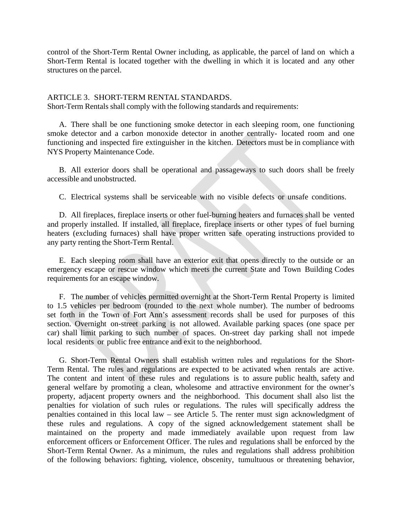control of the Short-Term Rental Owner including, as applicable, the parcel of land on which a Short-Term Rental is located together with the dwelling in which it is located and any other structures on the parcel.

### ARTICLE 3. SHORT-TERM RENTAL STANDARDS.

Short-Term Rentals shall comply with the following standards and requirements:

A. There shall be one functioning smoke detector in each sleeping room, one functioning smoke detector and a carbon monoxide detector in another centrally- located room and one functioning and inspected fire extinguisher in the kitchen. Detectors must be in compliance with NYS Property Maintenance Code.

B. All exterior doors shall be operational and passageways to such doors shall be freely accessible and unobstructed.

C. Electrical systems shall be serviceable with no visible defects or unsafe conditions.

D. All fireplaces, fireplace inserts or other fuel-burning heaters and furnaces shall be vented and properly installed. If installed, all fireplace, fireplace inserts or other types of fuel burning heaters (excluding furnaces) shall have proper written safe operating instructions provided to any party renting the Short-Term Rental.

E. Each sleeping room shall have an exterior exit that opens directly to the outside or an emergency escape or rescue window which meets the current State and Town Building Codes requirements for an escape window.

F. The number of vehicles permitted overnight at the Short-Term Rental Property is limited to 1.5 vehicles per bedroom (rounded to the next whole number). The number of bedrooms set forth in the Town of Fort Ann's assessment records shall be used for purposes of this section. Overnight on-street parking is not allowed. Available parking spaces (one space per car) shall limit parking to such number of spaces. On-street day parking shall not impede local residents or public free entrance and exit to the neighborhood.

G. Short-Term Rental Owners shall establish written rules and regulations for the Short-Term Rental. The rules and regulations are expected to be activated when rentals are active. The content and intent of these rules and regulations is to assure public health, safety and general welfare by promoting a clean, wholesome and attractive environment for the owner's property, adjacent property owners and the neighborhood. This document shall also list the penalties for violation of such rules or regulations. The rules will specifically address the penalties contained in this local law – see Article 5. The renter must sign acknowledgment of these rules and regulations. A copy of the signed acknowledgement statement shall be maintained on the property and made immediately available upon request from law enforcement officers or Enforcement Officer. The rules and regulations shall be enforced by the Short-Term Rental Owner. As a minimum, the rules and regulations shall address prohibition of the following behaviors: fighting, violence, obscenity, tumultuous or threatening behavior,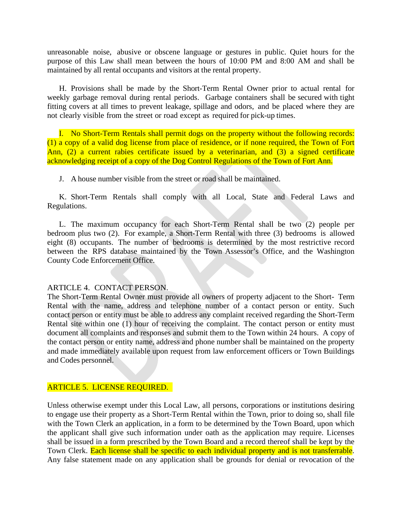unreasonable noise, abusive or obscene language or gestures in public. Quiet hours for the purpose of this Law shall mean between the hours of 10:00 PM and 8:00 AM and shall be maintained by all rental occupants and visitors at the rental property.

H. Provisions shall be made by the Short-Term Rental Owner prior to actual rental for weekly garbage removal during rental periods. Garbage containers shall be secured with tight fitting covers at all times to prevent leakage, spillage and odors, and be placed where they are not clearly visible from the street or road except as required for pick-up times.

I. No Short-Term Rentals shall permit dogs on the property without the following records: (1) a copy of a valid dog license from place of residence, or if none required, the Town of Fort Ann, (2) a current rabies certificate issued by a veterinarian, and (3) a signed certificate acknowledging receipt of a copy of the Dog Control Regulations of the Town of Fort Ann.

J. A house number visible from the street or road shall be maintained.

K. Short-Term Rentals shall comply with all Local, State and Federal Laws and Regulations.

L. The maximum occupancy for each Short-Term Rental shall be two (2) people per bedroom plus two (2). For example, a Short-Term Rental with three (3) bedrooms is allowed eight (8) occupants. The number of bedrooms is determined by the most restrictive record between the RPS database maintained by the Town Assessor's Office, and the Washington County Code Enforcement Office.

# ARTICLE 4. CONTACT PERSON.

The Short-Term Rental Owner must provide all owners of property adjacent to the Short- Term Rental with the name, address and telephone number of a contact person or entity. Such contact person or entity must be able to address any complaint received regarding the Short-Term Rental site within one (1) hour of receiving the complaint. The contact person or entity must document all complaints and responses and submit them to the Town within 24 hours. A copy of the contact person or entity name, address and phone number shall be maintained on the property and made immediately available upon request from law enforcement officers or Town Buildings and Codes personnel.

# ARTICLE 5. LICENSE REQUIRED.

Unless otherwise exempt under this Local Law, all persons, corporations or institutions desiring to engage use their property as a Short-Term Rental within the Town, prior to doing so, shall file with the Town Clerk an application, in a form to be determined by the Town Board, upon which the applicant shall give such information under oath as the application may require. Licenses shall be issued in a form prescribed by the Town Board and a record thereof shall be kept by the Town Clerk. Each license shall be specific to each individual property and is not transferrable. Any false statement made on any application shall be grounds for denial or revocation of the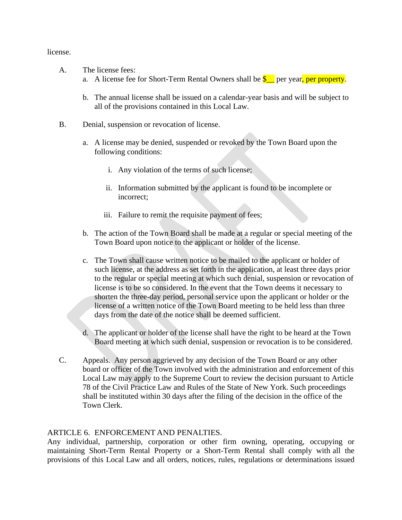license.

- A. The license fees:
	- a. A license fee for Short-Term Rental Owners shall be  $\S$  per year, per property.
	- b. The annual license shall be issued on a calendar-year basis and will be subject to all of the provisions contained in this Local Law.
- B. Denial, suspension or revocation of license.
	- a. A license may be denied, suspended or revoked by the Town Board upon the following conditions:
		- i. Any violation of the terms of such license;
		- ii. Information submitted by the applicant is found to be incomplete or incorrect;
		- iii. Failure to remit the requisite payment of fees;
	- b. The action of the Town Board shall be made at a regular or special meeting of the Town Board upon notice to the applicant or holder of the license.
	- c. The Town shall cause written notice to be mailed to the applicant or holder of such license, at the address as set forth in the application, at least three days prior to the regular or special meeting at which such denial, suspension or revocation of license is to be so considered. In the event that the Town deems it necessary to shorten the three-day period, personal service upon the applicant or holder or the license of a written notice of the Town Board meeting to be held less than three days from the date of the notice shall be deemed sufficient.
	- d. The applicant or holder of the license shall have the right to be heard at the Town Board meeting at which such denial, suspension or revocation is to be considered.
- C. Appeals. Any person aggrieved by any decision of the Town Board or any other board or officer of the Town involved with the administration and enforcement of this Local Law may apply to the Supreme Court to review the decision pursuant to Article 78 of the Civil Practice Law and Rules of the State of New York. Such proceedings shall be instituted within 30 days after the filing of the decision in the office of the Town Clerk.

### ARTICLE 6. ENFORCEMENT AND PENALTIES.

Any individual, partnership, corporation or other firm owning, operating, occupying or maintaining Short-Term Rental Property or a Short-Term Rental shall comply with all the provisions of this Local Law and all orders, notices, rules, regulations or determinations issued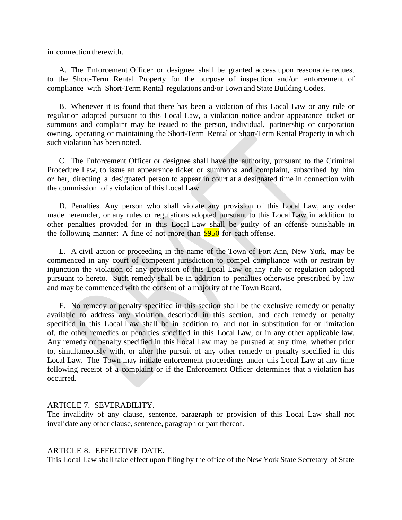in connection therewith.

A. The Enforcement Officer or designee shall be granted access upon reasonable request to the Short-Term Rental Property for the purpose of inspection and/or enforcement of compliance with Short-Term Rental regulations and/or Town and State Building Codes.

B. Whenever it is found that there has been a violation of this Local Law or any rule or regulation adopted pursuant to this Local Law, a violation notice and/or appearance ticket or summons and complaint may be issued to the person, individual, partnership or corporation owning, operating or maintaining the Short-Term Rental or Short-Term Rental Property in which such violation has been noted.

C. The Enforcement Officer or designee shall have the authority, pursuant to the Criminal Procedure Law, to issue an appearance ticket or summons and complaint, subscribed by him or her, directing a designated person to appear in court at a designated time in connection with the commission of a violation of this Local Law.

D. Penalties. Any person who shall violate any provision of this Local Law, any order made hereunder, or any rules or regulations adopted pursuant to this Local Law in addition to other penalties provided for in this Local Law shall be guilty of an offense punishable in the following manner: A fine of not more than  $$950$  for each offense.

E. A civil action or proceeding in the name of the Town of Fort Ann, New York, may be commenced in any court of competent jurisdiction to compel compliance with or restrain by injunction the violation of any provision of this Local Law or any rule or regulation adopted pursuant to hereto. Such remedy shall be in addition to penalties otherwise prescribed by law and may be commenced with the consent of a majority of the Town Board.

F. No remedy or penalty specified in this section shall be the exclusive remedy or penalty available to address any violation described in this section, and each remedy or penalty specified in this Local Law shall be in addition to, and not in substitution for or limitation of, the other remedies or penalties specified in this Local Law, or in any other applicable law. Any remedy or penalty specified in this Local Law may be pursued at any time, whether prior to, simultaneously with, or after the pursuit of any other remedy or penalty specified in this Local Law. The Town may initiate enforcement proceedings under this Local Law at any time following receipt of a complaint or if the Enforcement Officer determines that a violation has occurred.

### ARTICLE 7. SEVERABILITY.

The invalidity of any clause, sentence, paragraph or provision of this Local Law shall not invalidate any other clause, sentence, paragraph or part thereof.

### ARTICLE 8. EFFECTIVE DATE.

This Local Law shall take effect upon filing by the office of the New York State Secretary of State